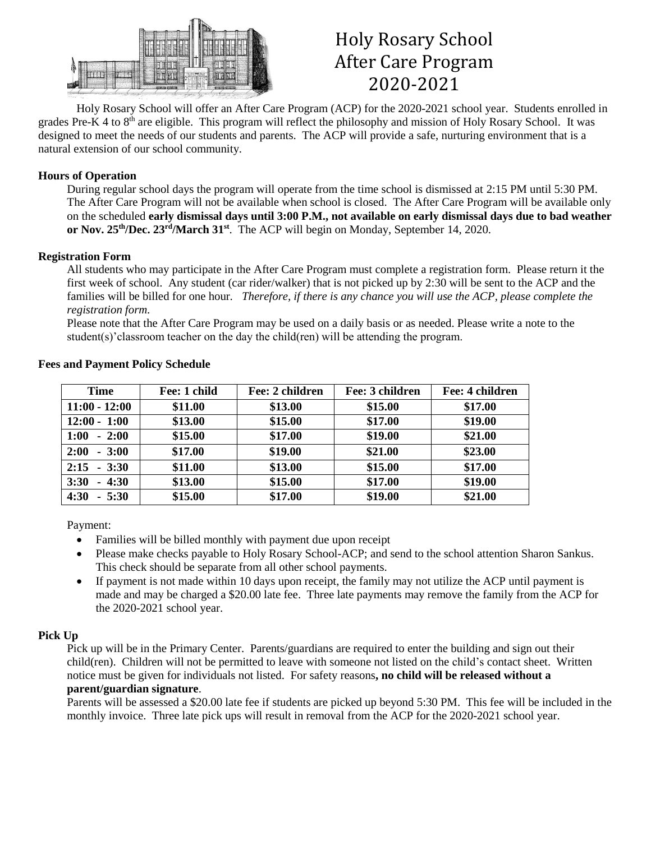

# Holy Rosary School After Care Program 2020-2021

Holy Rosary School will offer an After Care Program (ACP) for the 2020-2021 school year. Students enrolled in grades Pre-K 4 to 8<sup>th</sup> are eligible. This program will reflect the philosophy and mission of Holy Rosary School. It was designed to meet the needs of our students and parents. The ACP will provide a safe, nurturing environment that is a natural extension of our school community.

## **Hours of Operation**

During regular school days the program will operate from the time school is dismissed at 2:15 PM until 5:30 PM. The After Care Program will not be available when school is closed. The After Care Program will be available only on the scheduled **early dismissal days until 3:00 P.M., not available on early dismissal days due to bad weather or Nov. 25 th/Dec. 23rd/March 31st** . The ACP will begin on Monday, September 14, 2020.

#### **Registration Form**

All students who may participate in the After Care Program must complete a registration form. Please return it the first week of school. Any student (car rider/walker) that is not picked up by 2:30 will be sent to the ACP and the families will be billed for one hour*. Therefore, if there is any chance you will use the ACP, please complete the registration form.*

Please note that the After Care Program may be used on a daily basis or as needed. Please write a note to the student(s)'classroom teacher on the day the child(ren) will be attending the program.

| <b>Time</b>            | Fee: 1 child | Fee: 2 children | Fee: 3 children | Fee: 4 children |
|------------------------|--------------|-----------------|-----------------|-----------------|
| $11:00 - 12:00$        | \$11.00      | \$13.00         | \$15.00         | \$17.00         |
| $12:00 - 1:00$         | \$13.00      | \$15.00         | \$17.00         | \$19.00         |
| $-2:00$<br><b>1:00</b> | \$15.00      | \$17.00         | \$19.00         | \$21.00         |
| 2:00<br>$-3:00$        | \$17.00      | \$19.00         | \$21.00         | \$23.00         |
| 2:15<br>$-3:30$        | \$11.00      | \$13.00         | \$15.00         | \$17.00         |
| 3:30<br>$-4:30$        | \$13.00      | \$15.00         | \$17.00         | \$19.00         |
| 4:30<br>5:30           | \$15.00      | \$17.00         | \$19.00         | \$21.00         |

#### **Fees and Payment Policy Schedule**

Payment:

- Families will be billed monthly with payment due upon receipt
- Please make checks payable to Holy Rosary School-ACP; and send to the school attention Sharon Sankus. This check should be separate from all other school payments.
- If payment is not made within 10 days upon receipt, the family may not utilize the ACP until payment is made and may be charged a \$20.00 late fee. Three late payments may remove the family from the ACP for the 2020-2021 school year.

# **Pick Up**

Pick up will be in the Primary Center. Parents/guardians are required to enter the building and sign out their child(ren). Children will not be permitted to leave with someone not listed on the child's contact sheet. Written notice must be given for individuals not listed. For safety reasons**, no child will be released without a parent/guardian signature**.

Parents will be assessed a \$20.00 late fee if students are picked up beyond 5:30 PM. This fee will be included in the monthly invoice. Three late pick ups will result in removal from the ACP for the 2020-2021 school year.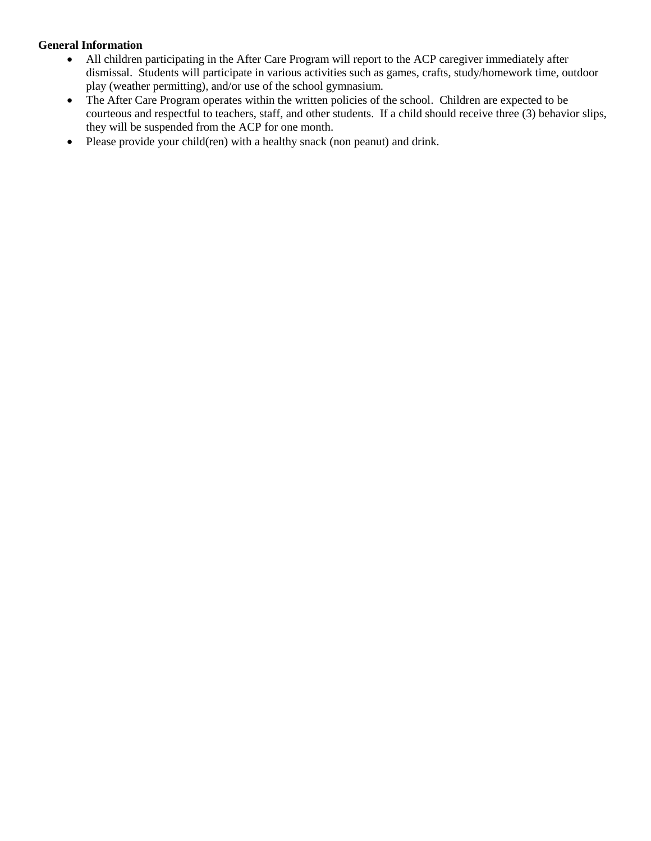## **General Information**

- All children participating in the After Care Program will report to the ACP caregiver immediately after dismissal. Students will participate in various activities such as games, crafts, study/homework time, outdoor play (weather permitting), and/or use of the school gymnasium.
- The After Care Program operates within the written policies of the school. Children are expected to be courteous and respectful to teachers, staff, and other students. If a child should receive three (3) behavior slips, they will be suspended from the ACP for one month.
- Please provide your child(ren) with a healthy snack (non peanut) and drink.